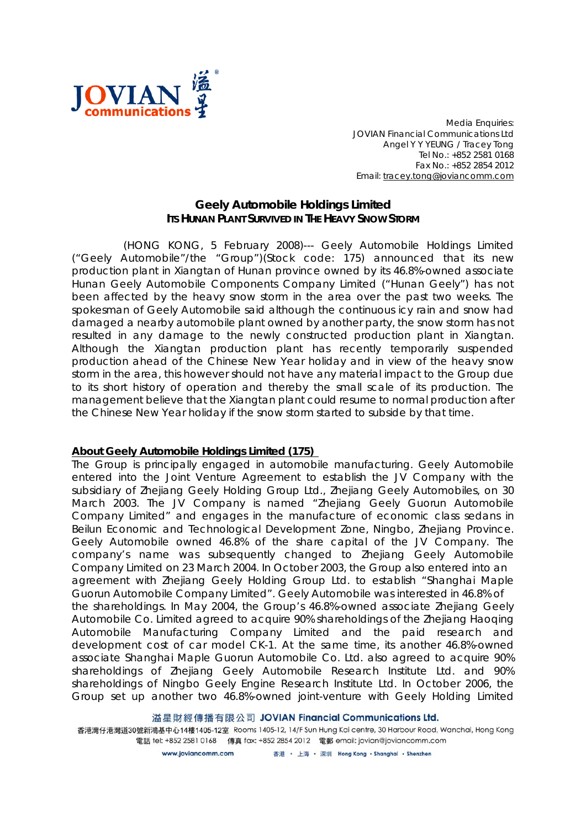

*Media Enquiries: JOVIAN Financial Communications Ltd Angel Y Y YEUNG / Tracey Tong Tel No.: +852 2581 0168 Fax No.: +852 2854 2012 Email: tracey.tong@joviancomm.com*

## **Geely Automobile Holdings Limited ITS HUNAN PLANT SURVIVED IN THE HEAVY SNOW STORM**

(HONG KONG, 5 February 2008)--- Geely Automobile Holdings Limited ("Geely Automobile"/the "Group")(Stock code: 175) announced that its new production plant in Xiangtan of Hunan province owned by its 46.8%-owned associate Hunan Geely Automobile Components Company Limited ("Hunan Geely") has not been affected by the heavy snow storm in the area over the past two weeks. The spokesman of Geely Automobile said although the continuous icy rain and snow had damaged a nearby automobile plant owned by another party, the snow storm has not resulted in any damage to the newly constructed production plant in Xiangtan. Although the Xiangtan production plant has recently temporarily suspended production ahead of the Chinese New Year holiday and in view of the heavy snow storm in the area, this however should not have any material impact to the Group due to its short history of operation and thereby the small scale of its production. The management believe that the Xiangtan plant could resume to normal production after the Chinese New Year holiday if the snow storm started to subside by that time.

## **About Geely Automobile Holdings Limited (175)**

The Group is principally engaged in automobile manufacturing. Geely Automobile entered into the Joint Venture Agreement to establish the JV Company with the subsidiary of Zhejiang Geely Holding Group Ltd., Zhejiang Geely Automobiles, on 30 March 2003. The JV Company is named "Zhejiang Geely Guorun Automobile Company Limited" and engages in the manufacture of economic class sedans in Beilun Economic and Technological Development Zone, Ningbo, Zhejiang Province. Geely Automobile owned 46.8% of the share capital of the JV Company. The company's name was subsequently changed to Zhejiang Geely Automobile Company Limited on 23 March 2004. In October 2003, the Group also entered into an agreement with Zhejiang Geely Holding Group Ltd. to establish "Shanghai Maple Guorun Automobile Company Limited". Geely Automobile was interested in 46.8% of the shareholdings. In May 2004, the Group's 46.8%-owned associate Zhejiang Geely Automobile Co. Limited agreed to acquire 90% shareholdings of the Zhejiang Haoqing Automobile Manufacturing Company Limited and the paid research and development cost of car model CK-1. At the same time, its another 46.8%-owned associate Shanghai Maple Guorun Automobile Co. Ltd. also agreed to acquire 90% shareholdings of Zhejiang Geely Automobile Research Institute Ltd. and 90% shareholdings of Ningbo Geely Engine Research Institute Ltd. In October 2006, the Group set up another two 46.8%-owned joint-venture with Geely Holding Limited

溢星財經傳播有限公司 JOVIAN Financial Communications Ltd.

香港灣仔港灣道30號新鴻基中心14樓1405-12室 Rooms 1405-12, 14/F Sun Hung Kai centre, 30 Harbour Road, Wanchai, Hong Kong 電話 tel: +852 2581 0168 傳真 fax: +852 2854 2012 電郵 email: jovian@joviancomm.com